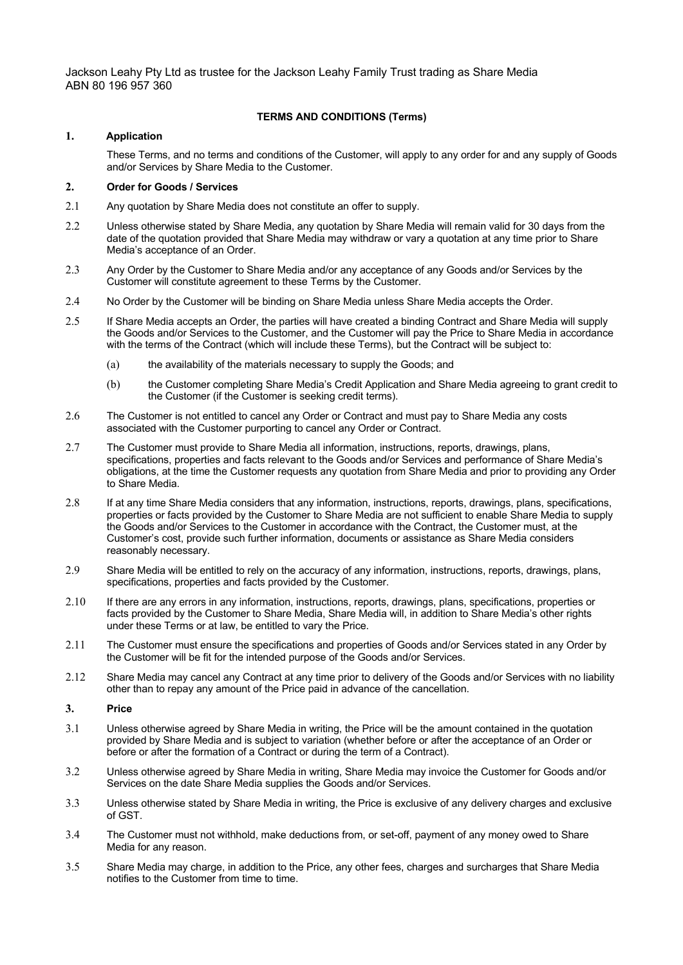Jackson Leahy Pty Ltd as trustee for the Jackson Leahy Family Trust trading as Share Media ABN 80 196 957 360

# **TERMS AND CONDITIONS (Terms)**

## **1. Application**

These Terms, and no terms and conditions of the Customer, will apply to any order for and any supply of Goods and/or Services by Share Media to the Customer.

# **2. Order for Goods / Services**

- 2.1 Any quotation by Share Media does not constitute an offer to supply.
- 2.2 Unless otherwise stated by Share Media, any quotation by Share Media will remain valid for 30 days from the date of the quotation provided that Share Media may withdraw or vary a quotation at any time prior to Share Media's acceptance of an Order.
- 2.3 Any Order by the Customer to Share Media and/or any acceptance of any Goods and/or Services by the Customer will constitute agreement to these Terms by the Customer.
- 2.4 No Order by the Customer will be binding on Share Media unless Share Media accepts the Order.
- 2.5 If Share Media accepts an Order, the parties will have created a binding Contract and Share Media will supply the Goods and/or Services to the Customer, and the Customer will pay the Price to Share Media in accordance with the terms of the Contract (which will include these Terms), but the Contract will be subject to:
	- (a) the availability of the materials necessary to supply the Goods; and
	- (b) the Customer completing Share Media's Credit Application and Share Media agreeing to grant credit to the Customer (if the Customer is seeking credit terms).
- 2.6 The Customer is not entitled to cancel any Order or Contract and must pay to Share Media any costs associated with the Customer purporting to cancel any Order or Contract.
- 2.7 The Customer must provide to Share Media all information, instructions, reports, drawings, plans, specifications, properties and facts relevant to the Goods and/or Services and performance of Share Media's obligations, at the time the Customer requests any quotation from Share Media and prior to providing any Order to Share Media.
- 2.8 If at any time Share Media considers that any information, instructions, reports, drawings, plans, specifications, properties or facts provided by the Customer to Share Media are not sufficient to enable Share Media to supply the Goods and/or Services to the Customer in accordance with the Contract, the Customer must, at the Customer's cost, provide such further information, documents or assistance as Share Media considers reasonably necessary.
- 2.9 Share Media will be entitled to rely on the accuracy of any information, instructions, reports, drawings, plans, specifications, properties and facts provided by the Customer.
- 2.10 If there are any errors in any information, instructions, reports, drawings, plans, specifications, properties or facts provided by the Customer to Share Media, Share Media will, in addition to Share Media's other rights under these Terms or at law, be entitled to vary the Price.
- 2.11 The Customer must ensure the specifications and properties of Goods and/or Services stated in any Order by the Customer will be fit for the intended purpose of the Goods and/or Services.
- 2.12 Share Media may cancel any Contract at any time prior to delivery of the Goods and/or Services with no liability other than to repay any amount of the Price paid in advance of the cancellation.

## **3. Price**

- 3.1 Unless otherwise agreed by Share Media in writing, the Price will be the amount contained in the quotation provided by Share Media and is subject to variation (whether before or after the acceptance of an Order or before or after the formation of a Contract or during the term of a Contract).
- 3.2 Unless otherwise agreed by Share Media in writing, Share Media may invoice the Customer for Goods and/or Services on the date Share Media supplies the Goods and/or Services.
- 3.3 Unless otherwise stated by Share Media in writing, the Price is exclusive of any delivery charges and exclusive of GST.
- 3.4 The Customer must not withhold, make deductions from, or set-off, payment of any money owed to Share Media for any reason.
- 3.5 Share Media may charge, in addition to the Price, any other fees, charges and surcharges that Share Media notifies to the Customer from time to time.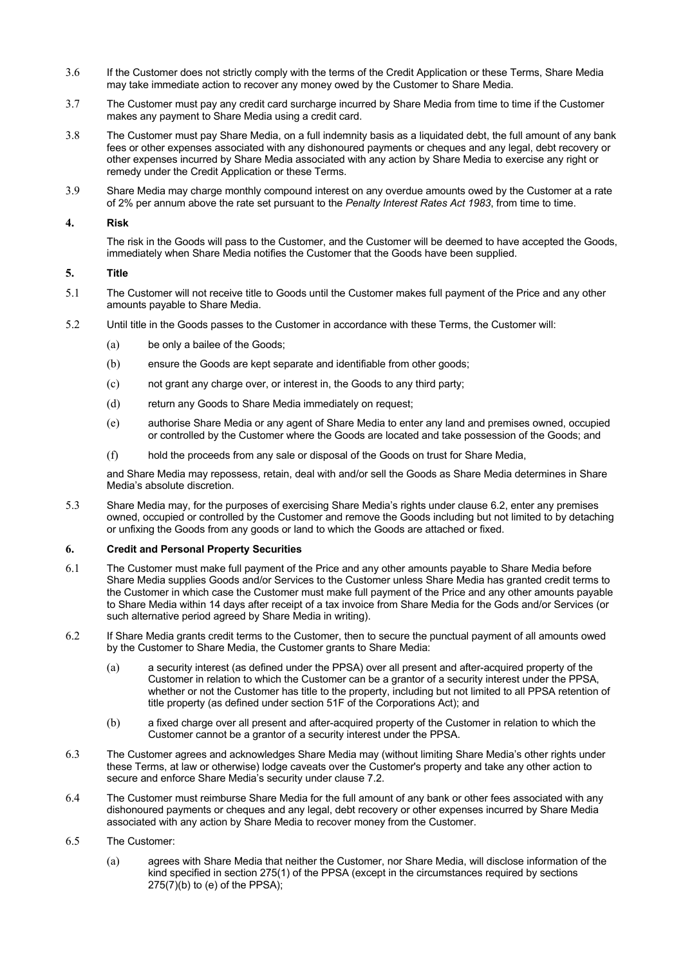- 3.6 If the Customer does not strictly comply with the terms of the Credit Application or these Terms, Share Media may take immediate action to recover any money owed by the Customer to Share Media.
- 3.7 The Customer must pay any credit card surcharge incurred by Share Media from time to time if the Customer makes any payment to Share Media using a credit card.
- 3.8 The Customer must pay Share Media, on a full indemnity basis as a liquidated debt, the full amount of any bank fees or other expenses associated with any dishonoured payments or cheques and any legal, debt recovery or other expenses incurred by Share Media associated with any action by Share Media to exercise any right or remedy under the Credit Application or these Terms.
- 3.9 Share Media may charge monthly compound interest on any overdue amounts owed by the Customer at a rate of 2% per annum above the rate set pursuant to the *Penalty Interest Rates Act 1983*, from time to time.

#### **4. Risk**

The risk in the Goods will pass to the Customer, and the Customer will be deemed to have accepted the Goods, immediately when Share Media notifies the Customer that the Goods have been supplied.

#### **5. Title**

- 5.1 The Customer will not receive title to Goods until the Customer makes full payment of the Price and any other amounts payable to Share Media.
- 5.2 Until title in the Goods passes to the Customer in accordance with these Terms, the Customer will:
	- (a) be only a bailee of the Goods;
	- (b) ensure the Goods are kept separate and identifiable from other goods;
	- (c) not grant any charge over, or interest in, the Goods to any third party;
	- (d) return any Goods to Share Media immediately on request;
	- (e) authorise Share Media or any agent of Share Media to enter any land and premises owned, occupied or controlled by the Customer where the Goods are located and take possession of the Goods; and
	- (f) hold the proceeds from any sale or disposal of the Goods on trust for Share Media,

and Share Media may repossess, retain, deal with and/or sell the Goods as Share Media determines in Share Media's absolute discretion.

5.3 Share Media may, for the purposes of exercising Share Media's rights under clause 6.2, enter any premises owned, occupied or controlled by the Customer and remove the Goods including but not limited to by detaching or unfixing the Goods from any goods or land to which the Goods are attached or fixed.

#### **6. Credit and Personal Property Securities**

- 6.1 The Customer must make full payment of the Price and any other amounts payable to Share Media before Share Media supplies Goods and/or Services to the Customer unless Share Media has granted credit terms to the Customer in which case the Customer must make full payment of the Price and any other amounts payable to Share Media within 14 days after receipt of a tax invoice from Share Media for the Gods and/or Services (or such alternative period agreed by Share Media in writing).
- 6.2 If Share Media grants credit terms to the Customer, then to secure the punctual payment of all amounts owed by the Customer to Share Media, the Customer grants to Share Media:
	- (a) a security interest (as defined under the PPSA) over all present and after-acquired property of the Customer in relation to which the Customer can be a grantor of a security interest under the PPSA, whether or not the Customer has title to the property, including but not limited to all PPSA retention of title property (as defined under section 51F of the Corporations Act); and
	- (b) a fixed charge over all present and after-acquired property of the Customer in relation to which the Customer cannot be a grantor of a security interest under the PPSA.
- 6.3 The Customer agrees and acknowledges Share Media may (without limiting Share Media's other rights under these Terms, at law or otherwise) lodge caveats over the Customer's property and take any other action to secure and enforce Share Media's security under clause 7.2.
- 6.4 The Customer must reimburse Share Media for the full amount of any bank or other fees associated with any dishonoured payments or cheques and any legal, debt recovery or other expenses incurred by Share Media associated with any action by Share Media to recover money from the Customer.
- 6.5 The Customer:
	- (a) agrees with Share Media that neither the Customer, nor Share Media, will disclose information of the kind specified in section 275(1) of the PPSA (except in the circumstances required by sections 275(7)(b) to (e) of the PPSA);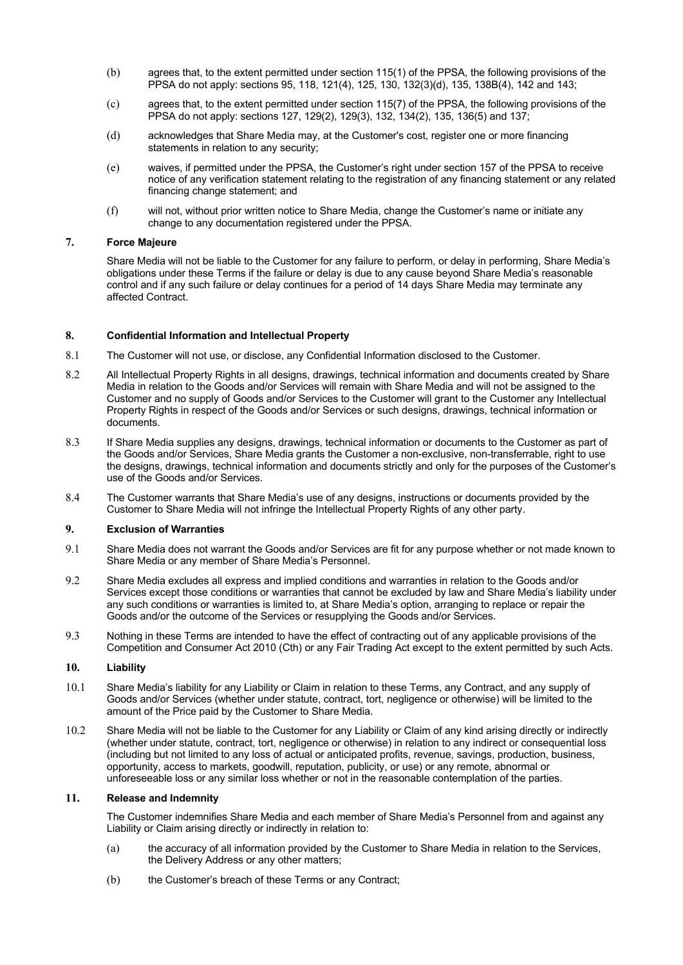- (b) agrees that, to the extent permitted under section 115(1) of the PPSA, the following provisions of the PPSA do not apply: sections 95, 118, 121(4), 125, 130, 132(3)(d), 135, 138B(4), 142 and 143;
- (c) agrees that, to the extent permitted under section 115(7) of the PPSA, the following provisions of the PPSA do not apply: sections 127, 129(2), 129(3), 132, 134(2), 135, 136(5) and 137;
- (d) acknowledges that Share Media may, at the Customer's cost, register one or more financing statements in relation to any security;
- (e) waives, if permitted under the PPSA, the Customer's right under section 157 of the PPSA to receive notice of any verification statement relating to the registration of any financing statement or any related financing change statement; and
- (f) will not, without prior written notice to Share Media, change the Customer's name or initiate any change to any documentation registered under the PPSA.

#### **7. Force Majeure**

Share Media will not be liable to the Customer for any failure to perform, or delay in performing, Share Media's obligations under these Terms if the failure or delay is due to any cause beyond Share Media's reasonable control and if any such failure or delay continues for a period of 14 days Share Media may terminate any affected Contract.

## **8. Confidential Information and Intellectual Property**

- 8.1 The Customer will not use, or disclose, any Confidential Information disclosed to the Customer.
- 8.2 All Intellectual Property Rights in all designs, drawings, technical information and documents created by Share Media in relation to the Goods and/or Services will remain with Share Media and will not be assigned to the Customer and no supply of Goods and/or Services to the Customer will grant to the Customer any Intellectual Property Rights in respect of the Goods and/or Services or such designs, drawings, technical information or documents.
- 8.3 If Share Media supplies any designs, drawings, technical information or documents to the Customer as part of the Goods and/or Services, Share Media grants the Customer a non-exclusive, non-transferrable, right to use the designs, drawings, technical information and documents strictly and only for the purposes of the Customer's use of the Goods and/or Services.
- 8.4 The Customer warrants that Share Media's use of any designs, instructions or documents provided by the Customer to Share Media will not infringe the Intellectual Property Rights of any other party.

## **9. Exclusion of Warranties**

- 9.1 Share Media does not warrant the Goods and/or Services are fit for any purpose whether or not made known to Share Media or any member of Share Media's Personnel.
- 9.2 Share Media excludes all express and implied conditions and warranties in relation to the Goods and/or Services except those conditions or warranties that cannot be excluded by law and Share Media's liability under any such conditions or warranties is limited to, at Share Media's option, arranging to replace or repair the Goods and/or the outcome of the Services or resupplying the Goods and/or Services.
- 9.3 Nothing in these Terms are intended to have the effect of contracting out of any applicable provisions of the Competition and Consumer Act 2010 (Cth) or any Fair Trading Act except to the extent permitted by such Acts.

## **10. Liability**

- 10.1 Share Media's liability for any Liability or Claim in relation to these Terms, any Contract, and any supply of Goods and/or Services (whether under statute, contract, tort, negligence or otherwise) will be limited to the amount of the Price paid by the Customer to Share Media.
- 10.2 Share Media will not be liable to the Customer for any Liability or Claim of any kind arising directly or indirectly (whether under statute, contract, tort, negligence or otherwise) in relation to any indirect or consequential loss (including but not limited to any loss of actual or anticipated profits, revenue, savings, production, business, opportunity, access to markets, goodwill, reputation, publicity, or use) or any remote, abnormal or unforeseeable loss or any similar loss whether or not in the reasonable contemplation of the parties.

# **11. Release and Indemnity**

The Customer indemnifies Share Media and each member of Share Media's Personnel from and against any Liability or Claim arising directly or indirectly in relation to:

- (a) the accuracy of all information provided by the Customer to Share Media in relation to the Services, the Delivery Address or any other matters;
- (b) the Customer's breach of these Terms or any Contract;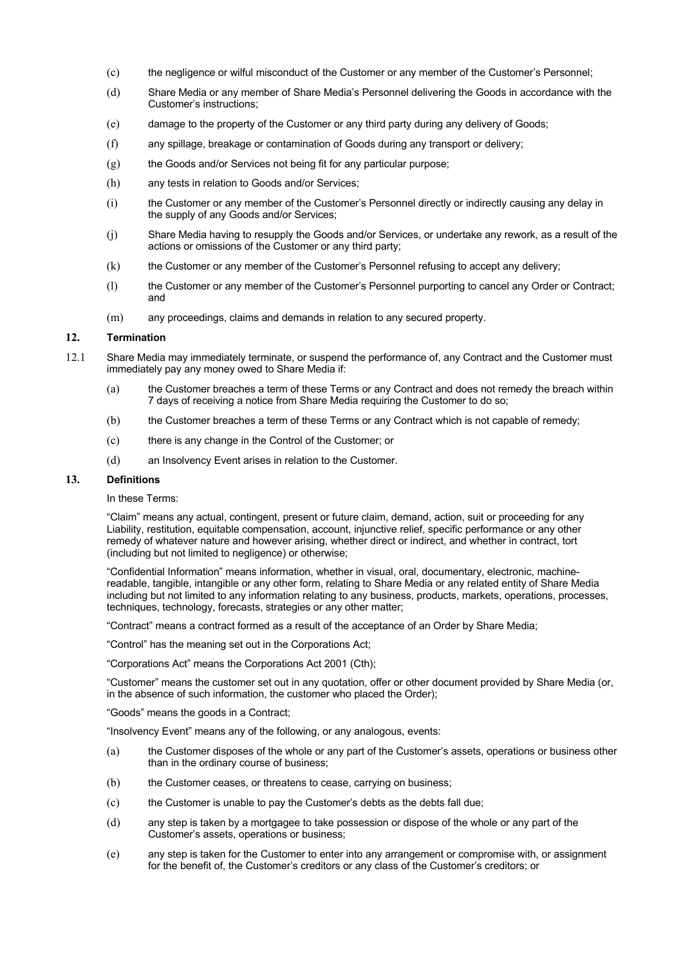- (c) the negligence or wilful misconduct of the Customer or any member of the Customer's Personnel;
- (d) Share Media or any member of Share Media's Personnel delivering the Goods in accordance with the Customer's instructions;
- (e) damage to the property of the Customer or any third party during any delivery of Goods;
- (f) any spillage, breakage or contamination of Goods during any transport or delivery;
- $(g)$  the Goods and/or Services not being fit for any particular purpose;
- (h) any tests in relation to Goods and/or Services;
- (i) the Customer or any member of the Customer's Personnel directly or indirectly causing any delay in the supply of any Goods and/or Services;
- (j) Share Media having to resupply the Goods and/or Services, or undertake any rework, as a result of the actions or omissions of the Customer or any third party;
- (k) the Customer or any member of the Customer's Personnel refusing to accept any delivery;
- (l) the Customer or any member of the Customer's Personnel purporting to cancel any Order or Contract; and
- (m) any proceedings, claims and demands in relation to any secured property.

### **12. Termination**

- 12.1 Share Media may immediately terminate, or suspend the performance of, any Contract and the Customer must immediately pay any money owed to Share Media if:
	- (a) the Customer breaches a term of these Terms or any Contract and does not remedy the breach within 7 days of receiving a notice from Share Media requiring the Customer to do so;
	- (b) the Customer breaches a term of these Terms or any Contract which is not capable of remedy;
	- (c) there is any change in the Control of the Customer; or
	- (d) an Insolvency Event arises in relation to the Customer.

#### **13. Definitions**

In these Terms:

"Claim" means any actual, contingent, present or future claim, demand, action, suit or proceeding for any Liability, restitution, equitable compensation, account, injunctive relief, specific performance or any other remedy of whatever nature and however arising, whether direct or indirect, and whether in contract, tort (including but not limited to negligence) or otherwise;

"Confidential Information" means information, whether in visual, oral, documentary, electronic, machinereadable, tangible, intangible or any other form, relating to Share Media or any related entity of Share Media including but not limited to any information relating to any business, products, markets, operations, processes, techniques, technology, forecasts, strategies or any other matter;

"Contract" means a contract formed as a result of the acceptance of an Order by Share Media;

"Control" has the meaning set out in the Corporations Act;

"Corporations Act" means the Corporations Act 2001 (Cth);

"Customer" means the customer set out in any quotation, offer or other document provided by Share Media (or, in the absence of such information, the customer who placed the Order);

"Goods" means the goods in a Contract;

"Insolvency Event" means any of the following, or any analogous, events:

- (a) the Customer disposes of the whole or any part of the Customer's assets, operations or business other than in the ordinary course of business;
- (b) the Customer ceases, or threatens to cease, carrying on business;
- (c) the Customer is unable to pay the Customer's debts as the debts fall due;
- (d) any step is taken by a mortgagee to take possession or dispose of the whole or any part of the Customer's assets, operations or business;
- (e) any step is taken for the Customer to enter into any arrangement or compromise with, or assignment for the benefit of, the Customer's creditors or any class of the Customer's creditors; or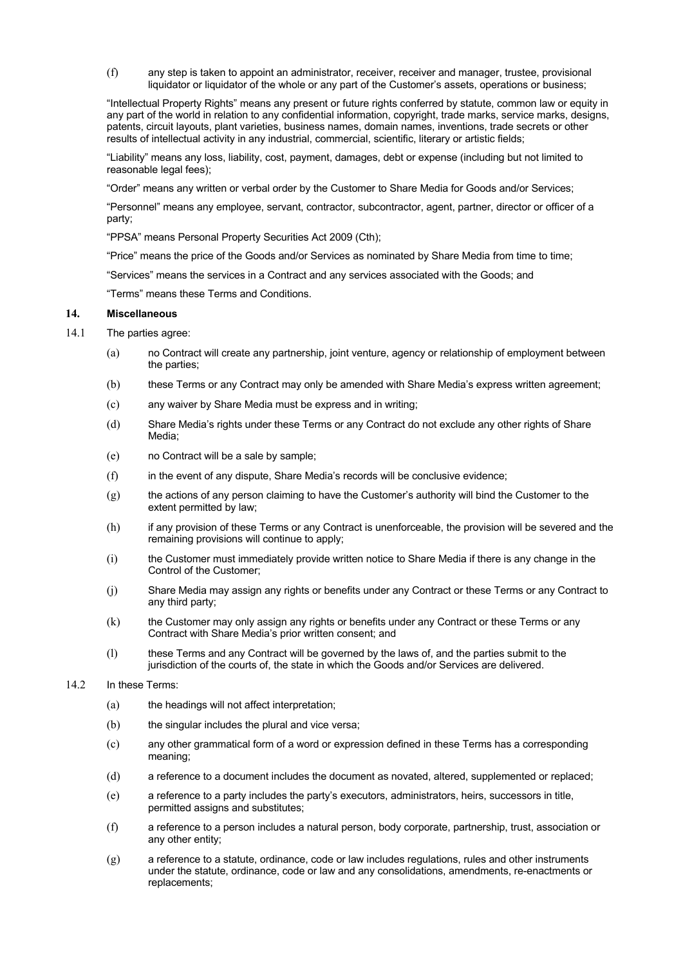(f) any step is taken to appoint an administrator, receiver, receiver and manager, trustee, provisional liquidator or liquidator of the whole or any part of the Customer's assets, operations or business;

"Intellectual Property Rights" means any present or future rights conferred by statute, common law or equity in any part of the world in relation to any confidential information, copyright, trade marks, service marks, designs, patents, circuit layouts, plant varieties, business names, domain names, inventions, trade secrets or other results of intellectual activity in any industrial, commercial, scientific, literary or artistic fields;

"Liability" means any loss, liability, cost, payment, damages, debt or expense (including but not limited to reasonable legal fees);

"Order" means any written or verbal order by the Customer to Share Media for Goods and/or Services;

"Personnel" means any employee, servant, contractor, subcontractor, agent, partner, director or officer of a party;

"PPSA" means Personal Property Securities Act 2009 (Cth);

"Price" means the price of the Goods and/or Services as nominated by Share Media from time to time;

"Services" means the services in a Contract and any services associated with the Goods; and

"Terms" means these Terms and Conditions.

## **14. Miscellaneous**

- 14.1 The parties agree:
	- (a) no Contract will create any partnership, joint venture, agency or relationship of employment between the parties;
	- (b) these Terms or any Contract may only be amended with Share Media's express written agreement;
	- (c) any waiver by Share Media must be express and in writing;
	- (d) Share Media's rights under these Terms or any Contract do not exclude any other rights of Share Media;
	- (e) no Contract will be a sale by sample;
	- (f) in the event of any dispute, Share Media's records will be conclusive evidence;
	- (g) the actions of any person claiming to have the Customer's authority will bind the Customer to the extent permitted by law;
	- (h) if any provision of these Terms or any Contract is unenforceable, the provision will be severed and the remaining provisions will continue to apply;
	- (i) the Customer must immediately provide written notice to Share Media if there is any change in the Control of the Customer;
	- (j) Share Media may assign any rights or benefits under any Contract or these Terms or any Contract to any third party;
	- (k) the Customer may only assign any rights or benefits under any Contract or these Terms or any Contract with Share Media's prior written consent; and
	- (l) these Terms and any Contract will be governed by the laws of, and the parties submit to the jurisdiction of the courts of, the state in which the Goods and/or Services are delivered.
- 14.2 In these Terms:
	- (a) the headings will not affect interpretation:
	- (b) the singular includes the plural and vice versa;
	- (c) any other grammatical form of a word or expression defined in these Terms has a corresponding meaning;
	- (d) a reference to a document includes the document as novated, altered, supplemented or replaced;
	- (e) a reference to a party includes the party's executors, administrators, heirs, successors in title, permitted assigns and substitutes;
	- (f) a reference to a person includes a natural person, body corporate, partnership, trust, association or any other entity;
	- (g) a reference to a statute, ordinance, code or law includes regulations, rules and other instruments under the statute, ordinance, code or law and any consolidations, amendments, re-enactments or replacements;